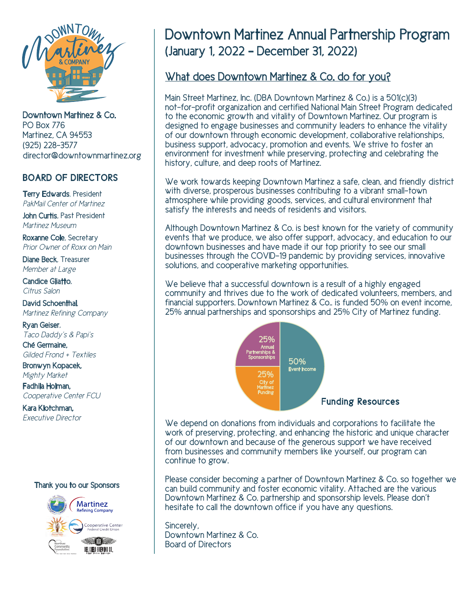

Downtown Martinez & Co. PO Box 776 Martinez, CA 94553 (925) 228-3577 director@downtownmartinez.org

#### BOARD OF DIRECTORS

Terry Edwards, President *PakMail Center of Martinez*

John Curtis, Past President *Martinez Museum*

Roxanne Cole, Secretary *Prior Owner of Roxx on Main*

Diane Beck, Treasurer *Member at Large*

Candice Gliatto, *Citrus Salon*

David Schoenthal, *Martinez Refining Company*

Ryan Geiser, *Taco Daddy's & Papi's*

Ché Germaine, *Gilded Frond + Textiles*

Bronwyn Kopacek, *Mighty Market*

Fadhila Holman, *Cooperative Center FCU*

Kara Klotchman, *Executive Director*





# Downtown Martinez Annual Partnership Program (January 1, 2022 – December 31, 2022)

#### What does Downtown Martinez & Co. do for you?

Main Street Martinez, Inc. (DBA Downtown Martinez & Co.) is a 501(c)(3) not-for-profit organization and certified National Main Street Program dedicated to the economic growth and vitality of Downtown Martinez. Our program is designed to engage businesses and community leaders to enhance the vitality of our downtown through economic development, collaborative relationships, business support, advocacy, promotion and events. We strive to foster an environment for investment while preserving, protecting and celebrating the history, culture, and deep roots of Martinez.

We work towards keeping Downtown Martinez a safe, clean, and friendly district with diverse, prosperous businesses contributing to a vibrant small-town atmosphere while providing goods, services, and cultural environment that satisfy the interests and needs of residents and visitors.

Although Downtown Martinez & Co. is best known for the variety of community events that we produce, we also offer support, advocacy, and education to our downtown businesses and have made it our top priority to see our small businesses through the COVID-19 pandemic by providing services, innovative solutions, and cooperative marketing opportunities.

We believe that a successful downtown is a result of a highly engaged community and thrives due to the work of dedicated volunteers, members, and financial supporters. Downtown Martinez & Co.. is funded 50% on event income, 25% annual partnerships and sponsorships and 25% City of Martinez funding.



We depend on donations from individuals and corporations to facilitate the work of preserving, protecting, and enhancing the historic and unique character of our downtown and because of the generous support we have received from businesses and community members like yourself, our program can continue to grow.

Please consider becoming a partner of Downtown Martinez & Co. so together we can build community and foster economic vitality. Attached are the various Downtown Martinez & Co. partnership and sponsorship levels. Please don't hesitate to call the downtown office if you have any questions.

Sincerely, Downtown Martinez & Co. Board of Directors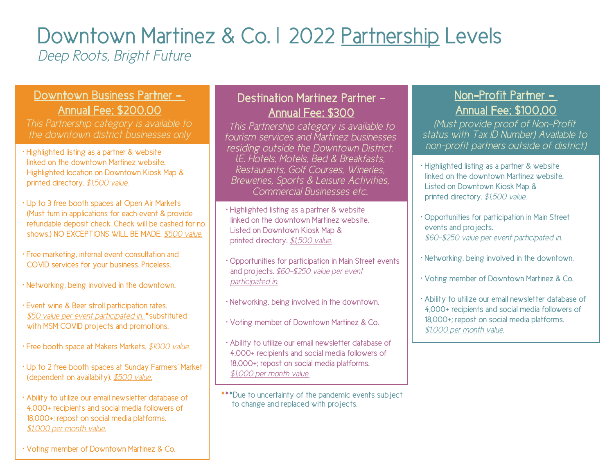# Downtown Martinez & Co. | 2022 Partnership Levels

*Deep Roots, Bright Future*

## Downtown Business Partner - Annual Fee: \$200.00

*This Partnership category is available to the downtown district businesses only*

- Highlighted listing as a partner & website linked on the downtown Martinez website. Highlighted location on Downtown Kiosk Map & printed directory. *\$1,500 value.*
- Up to 3 free booth spaces at Open Air Markets (Must turn in applications for each event & provide refundable deposit check. Check will be cashed for no shows.) NO EXCEPTIONS WILL BE MADE. *\$500 value.*
- Free marketing, internal event consultation and COVID services for your business. Priceless.
- Networking, being involved in the downtown.
- Event wine & Beer stroll participation rates.  *\$50 value per event participated in.* \*substituted with MSM COVID projects and promotions.
- Free booth space at Makers Markets. *\$1000 value.*
- Up to 2 free booth spaces at Sunday Farmers' Market (dependent on availabity). *\$500 value.*
- Ability to utilize our email newsletter database of 4,000+ recipients and social media followers of 18,000+; repost on social media platforms. *\$1,000 per month value.*

#### Destination Martinez Partner - Annual Fee: \$300

*This Partnership category is available to tourism services and Martinez businesses residing outside the Downtown District. I.E. Hotels, Motels, Bed & Breakfasts, Restaurants, Golf Courses, Wineries, Breweries, Sports & Leisure Activities, Commercial Businesses etc.* 

• Highlighted listing as a partner & website linked on the downtown Martinez website. Listed on Downtown Kiosk Map & printed directory. *\$1,500 value.*

- Opportunities for participation in Main Street events and projects. *\$60-\$250 value per event participated in.*
- Networking, being involved in the downtown.
- Voting member of Downtown Martinez & Co.
- Ability to utilize our email newsletter database of 4,000+ recipients and social media followers of 18,000+; repost on social media platforms. *\$1,000 per month value.*
- \*\*\*Due to uncertainty of the pandemic events subject to change and replaced with projects.

## Non-Profit Partner - Annual Fee: \$100.00

*(Must provide proof of Non-Profit status with Tax ID Number) Available to non-profit partners outside of district)*

- Highlighted listing as a partner & website linked on the downtown Martinez website. Listed on Downtown Kiosk Map & printed directory. *\$1,500 value.*
- Opportunities for participation in Main Street events and projects.  *\$60-\$250 value per event participated in.*
- Networking, being involved in the downtown.
- Voting member of Downtown Martinez & Co.
- Ability to utilize our email newsletter database of 4,000+ recipients and social media followers of 18,000+; repost on social media platforms. *\$1,000 per month value.*

• Voting member of Downtown Martinez & Co.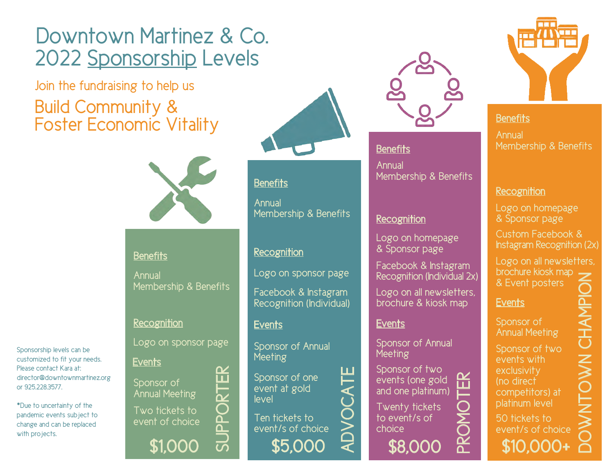# Downtown Martinez & Co. 2022 Sponsorship Levels

Join the fundraising to help us Build Community & Foster Economic Vitality



#### **Benefits**

Annual Membership & Benefits

#### **Recognition**

Logo on sponsor page

# **Events**

Sponsorship levels can be customized to fit your needs. Please contact Kara at:

\*Due to uncertainty of the pandemic events subject to change and can be replaced

or 925.228.3577.

with projects.

director@downtownmartinez.org

Sponsor of Annual Meeting Two tickets to event of choice

\$1,000



### **Benefits**

Annual Membership & Benefits

#### **Recognition**

Logo on sponsor page

Facebook & Instagram Recognition (Individual)

#### Events Events

Sponsor of Annual **Meeting** 

Sponsor of one event at gold level

\$5,000 Ten tickets to event/s of choice ADVOCATE



## **Benefits**

Annual Membership & Benefits

#### **Recognition**

Logo on homepage & Sponsor page

Facebook & Instagram Recognition (Individual 2x)

Logo on all newsletters, brochure & kiosk map

Sponsor of Annual Meeting

Sponsor of two events (one gold and one platinum)

Twenty tickets to event/s of choice

\$8,000

PROMOTER

П



#### **Benefits**

**Annual** Membership & Benefits

#### **Recognition**

Logo on homepage & Sponsor page

Custom Facebook & Instagram Recognition (2x)

Logo on all newsletters, brochure kiosk map<br>& Event posters

#### **Events**

Sponsor of Annual Meeting

Sponsor of two events with **exclusivity** (no direct competitors) at platinum level

\$10,000+ 50 tickets to event/s of choice DOWNTOWN CHAMPION

SUPPORTER

 $\bf \overline{P}$ 

 $\vec{D}$ 

ΩZ 凹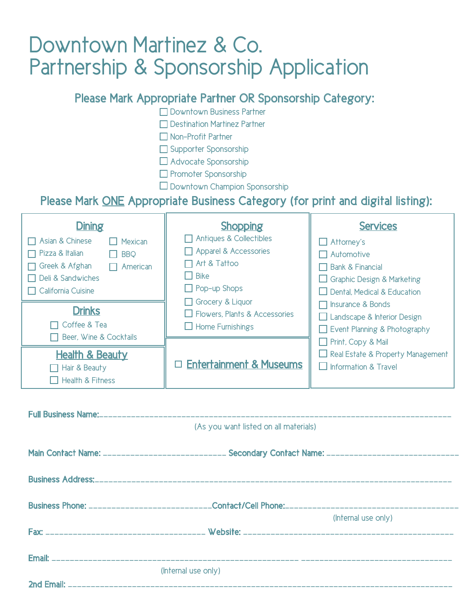# Downtown Martinez & Co. Partnership & Sponsorship Application

### Please Mark Appropriate Partner OR Sponsorship Category:

□ Downtown Business Partner

- Destination Martinez Partner
- Non-Profit Partner

Supporter Sponsorship

Advocate Sponsorship

- **Promoter Sponsorship**
- Downtown Champion Sponsorship

### Please Mark ONE Appropriate Business Category (for print and digital listing):

| <b>Dining</b><br>Asian & Chinese<br>Mexican<br>Pizza & Italian<br><b>BBQ</b><br>Greek & Afghan<br>American<br>Deli & Sandwiches<br>$\Box$ California Cuisine | <b>Shopping</b><br>Antiques & Collectibles<br>Apparel & Accessories<br>Art & Tattoo<br><b>Bike</b><br>$\Box$ Pop-up Shops | <b>Services</b><br>$\Box$ Attorney's<br>$\Box$ Automotive<br><b>Bank &amp; Financial</b><br>$\Box$ Graphic Design & Marketing<br>$\Box$ Dental, Medical & Education |
|--------------------------------------------------------------------------------------------------------------------------------------------------------------|---------------------------------------------------------------------------------------------------------------------------|---------------------------------------------------------------------------------------------------------------------------------------------------------------------|
| <b>Drinks</b><br>Coffee & Tea<br>Beer, Wine & Cocktails                                                                                                      | Grocery & Liquor<br>$\Box$ Flowers, Plants & Accessories<br>$\Box$ Home Furnishings                                       | □ Insurance & Bonds<br>$\Box$ Landscape & Interior Design<br>$\Box$ Event Planning & Photography<br>Print, Copy & Mail                                              |
| <b>Health &amp; Beauty</b><br>Hair & Beauty<br><b>Health &amp; Fitness</b>                                                                                   | $\Box$ Entertainment & Museums                                                                                            | $\Box$ Real Estate & Property Management<br>$\Box$ Information & Travel                                                                                             |

| (As you want listed on all materials)                                                               |                     |
|-----------------------------------------------------------------------------------------------------|---------------------|
|                                                                                                     |                     |
| Main Contact Name: __________________________ Secondary Contact Name: _____________________________ |                     |
|                                                                                                     |                     |
|                                                                                                     |                     |
|                                                                                                     |                     |
|                                                                                                     | (Internal use only) |
|                                                                                                     |                     |
|                                                                                                     |                     |
|                                                                                                     |                     |
| (Internal use only)                                                                                 |                     |
|                                                                                                     |                     |